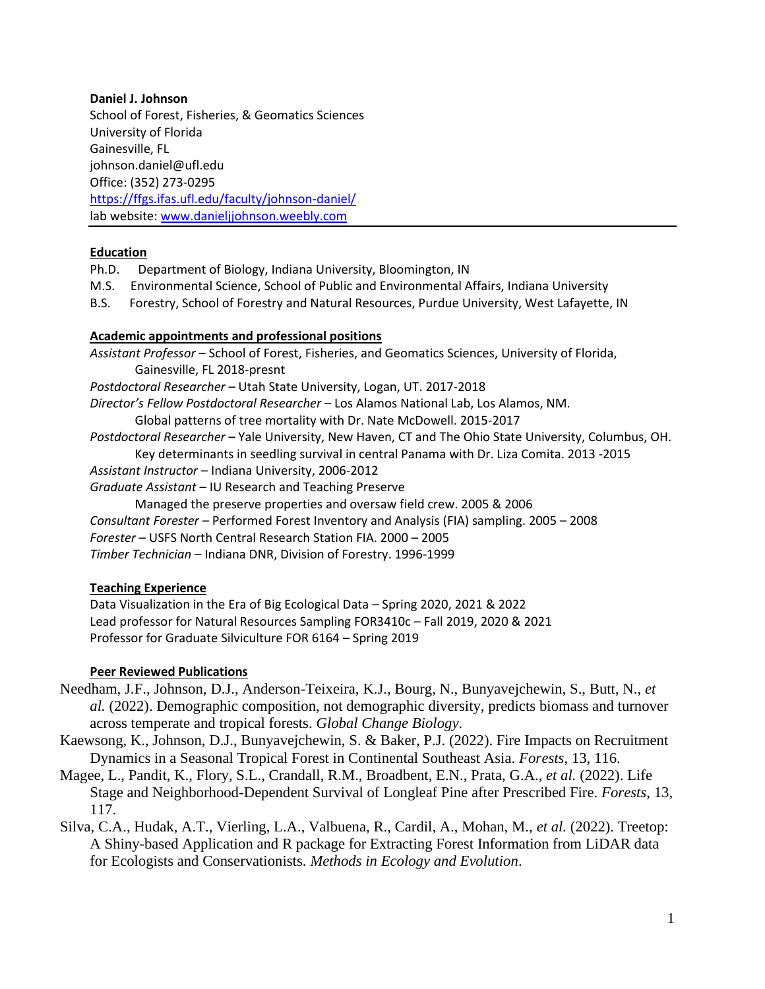### **Daniel J. Johnson**

School of Forest, Fisheries, & Geomatics Sciences University of Florida Gainesville, FL johnson.daniel@ufl.edu Office: (352) 273-0295 <https://ffgs.ifas.ufl.edu/faculty/johnson-daniel/> lab website[: www.danieljjohnson.weebly.com](http://www.danieljjohnson.weebly.com/)

## **Education**

- Ph.D. Department of Biology, Indiana University, Bloomington, IN
- M.S. Environmental Science, School of Public and Environmental Affairs, Indiana University
- B.S. Forestry, School of Forestry and Natural Resources, Purdue University, West Lafayette, IN

## **Academic appointments and professional positions**

*Assistant Professor* – School of Forest, Fisheries, and Geomatics Sciences, University of Florida, Gainesville, FL 2018-presnt *Postdoctoral Researcher* – Utah State University, Logan, UT. 2017-2018 *Director's Fellow Postdoctoral Researcher* – Los Alamos National Lab, Los Alamos, NM. Global patterns of tree mortality with Dr. Nate McDowell. 2015-2017 *Postdoctoral Researcher* – Yale University, New Haven, CT and The Ohio State University, Columbus, OH. Key determinants in seedling survival in central Panama with Dr. Liza Comita. 2013 -2015 *Assistant Instructor* – Indiana University, 2006-2012 *Graduate Assistant* – IU Research and Teaching Preserve Managed the preserve properties and oversaw field crew. 2005 & 2006 *Consultant Forester* – Performed Forest Inventory and Analysis (FIA) sampling. 2005 – 2008 *Forester* – USFS North Central Research Station FIA. 2000 – 2005 *Timber Technician* – Indiana DNR, Division of Forestry. 1996-1999

# **Teaching Experience**

Data Visualization in the Era of Big Ecological Data – Spring 2020, 2021 & 2022 Lead professor for Natural Resources Sampling FOR3410c – Fall 2019, 2020 & 2021 Professor for Graduate Silviculture FOR 6164 – Spring 2019

### **Peer Reviewed Publications**

- Needham, J.F., Johnson, D.J., Anderson-Teixeira, K.J., Bourg, N., Bunyavejchewin, S., Butt, N., *et al.* (2022). Demographic composition, not demographic diversity, predicts biomass and turnover across temperate and tropical forests. *Global Change Biology*.
- Kaewsong, K., Johnson, D.J., Bunyavejchewin, S. & Baker, P.J. (2022). Fire Impacts on Recruitment Dynamics in a Seasonal Tropical Forest in Continental Southeast Asia. *Forests*, 13, 116.
- Magee, L., Pandit, K., Flory, S.L., Crandall, R.M., Broadbent, E.N., Prata, G.A., *et al.* (2022). Life Stage and Neighborhood-Dependent Survival of Longleaf Pine after Prescribed Fire. *Forests*, 13, 117.
- Silva, C.A., Hudak, A.T., Vierling, L.A., Valbuena, R., Cardil, A., Mohan, M., *et al.* (2022). Treetop: A Shiny-based Application and R package for Extracting Forest Information from LiDAR data for Ecologists and Conservationists. *Methods in Ecology and Evolution*.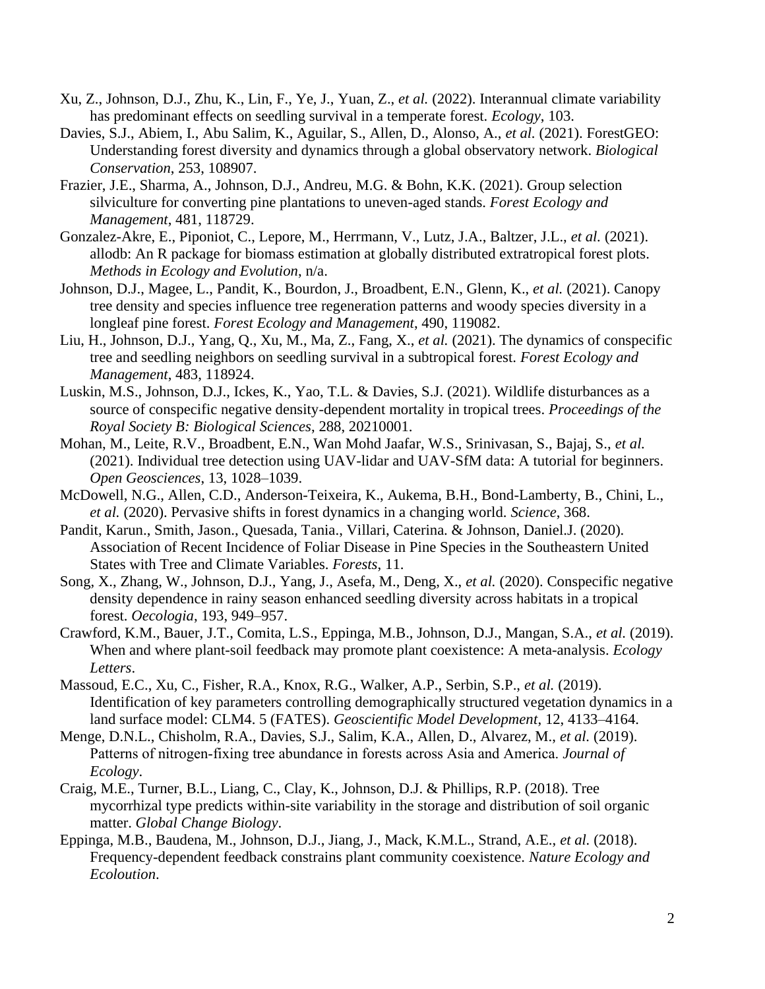- Xu, Z., Johnson, D.J., Zhu, K., Lin, F., Ye, J., Yuan, Z., *et al.* (2022). Interannual climate variability has predominant effects on seedling survival in a temperate forest. *Ecology*, 103.
- Davies, S.J., Abiem, I., Abu Salim, K., Aguilar, S., Allen, D., Alonso, A., *et al.* (2021). ForestGEO: Understanding forest diversity and dynamics through a global observatory network. *Biological Conservation*, 253, 108907.
- Frazier, J.E., Sharma, A., Johnson, D.J., Andreu, M.G. & Bohn, K.K. (2021). Group selection silviculture for converting pine plantations to uneven-aged stands. *Forest Ecology and Management*, 481, 118729.
- Gonzalez-Akre, E., Piponiot, C., Lepore, M., Herrmann, V., Lutz, J.A., Baltzer, J.L., *et al.* (2021). allodb: An R package for biomass estimation at globally distributed extratropical forest plots. *Methods in Ecology and Evolution*, n/a.
- Johnson, D.J., Magee, L., Pandit, K., Bourdon, J., Broadbent, E.N., Glenn, K., *et al.* (2021). Canopy tree density and species influence tree regeneration patterns and woody species diversity in a longleaf pine forest. *Forest Ecology and Management*, 490, 119082.
- Liu, H., Johnson, D.J., Yang, Q., Xu, M., Ma, Z., Fang, X., *et al.* (2021). The dynamics of conspecific tree and seedling neighbors on seedling survival in a subtropical forest. *Forest Ecology and Management*, 483, 118924.
- Luskin, M.S., Johnson, D.J., Ickes, K., Yao, T.L. & Davies, S.J. (2021). Wildlife disturbances as a source of conspecific negative density-dependent mortality in tropical trees. *Proceedings of the Royal Society B: Biological Sciences*, 288, 20210001.
- Mohan, M., Leite, R.V., Broadbent, E.N., Wan Mohd Jaafar, W.S., Srinivasan, S., Bajaj, S., *et al.* (2021). Individual tree detection using UAV-lidar and UAV-SfM data: A tutorial for beginners. *Open Geosciences*, 13, 1028–1039.
- McDowell, N.G., Allen, C.D., Anderson-Teixeira, K., Aukema, B.H., Bond-Lamberty, B., Chini, L., *et al.* (2020). Pervasive shifts in forest dynamics in a changing world. *Science*, 368.
- Pandit, Karun., Smith, Jason., Quesada, Tania., Villari, Caterina. & Johnson, Daniel.J. (2020). Association of Recent Incidence of Foliar Disease in Pine Species in the Southeastern United States with Tree and Climate Variables. *Forests*, 11.
- Song, X., Zhang, W., Johnson, D.J., Yang, J., Asefa, M., Deng, X., *et al.* (2020). Conspecific negative density dependence in rainy season enhanced seedling diversity across habitats in a tropical forest. *Oecologia*, 193, 949–957.
- Crawford, K.M., Bauer, J.T., Comita, L.S., Eppinga, M.B., Johnson, D.J., Mangan, S.A., *et al.* (2019). When and where plant-soil feedback may promote plant coexistence: A meta-analysis. *Ecology Letters*.
- Massoud, E.C., Xu, C., Fisher, R.A., Knox, R.G., Walker, A.P., Serbin, S.P., *et al.* (2019). Identification of key parameters controlling demographically structured vegetation dynamics in a land surface model: CLM4. 5 (FATES). *Geoscientific Model Development*, 12, 4133–4164.
- Menge, D.N.L., Chisholm, R.A., Davies, S.J., Salim, K.A., Allen, D., Alvarez, M., *et al.* (2019). Patterns of nitrogen‐fixing tree abundance in forests across Asia and America. *Journal of Ecology*.
- Craig, M.E., Turner, B.L., Liang, C., Clay, K., Johnson, D.J. & Phillips, R.P. (2018). Tree mycorrhizal type predicts within-site variability in the storage and distribution of soil organic matter. *Global Change Biology*.
- Eppinga, M.B., Baudena, M., Johnson, D.J., Jiang, J., Mack, K.M.L., Strand, A.E., *et al.* (2018). Frequency-dependent feedback constrains plant community coexistence. *Nature Ecology and Ecoloution*.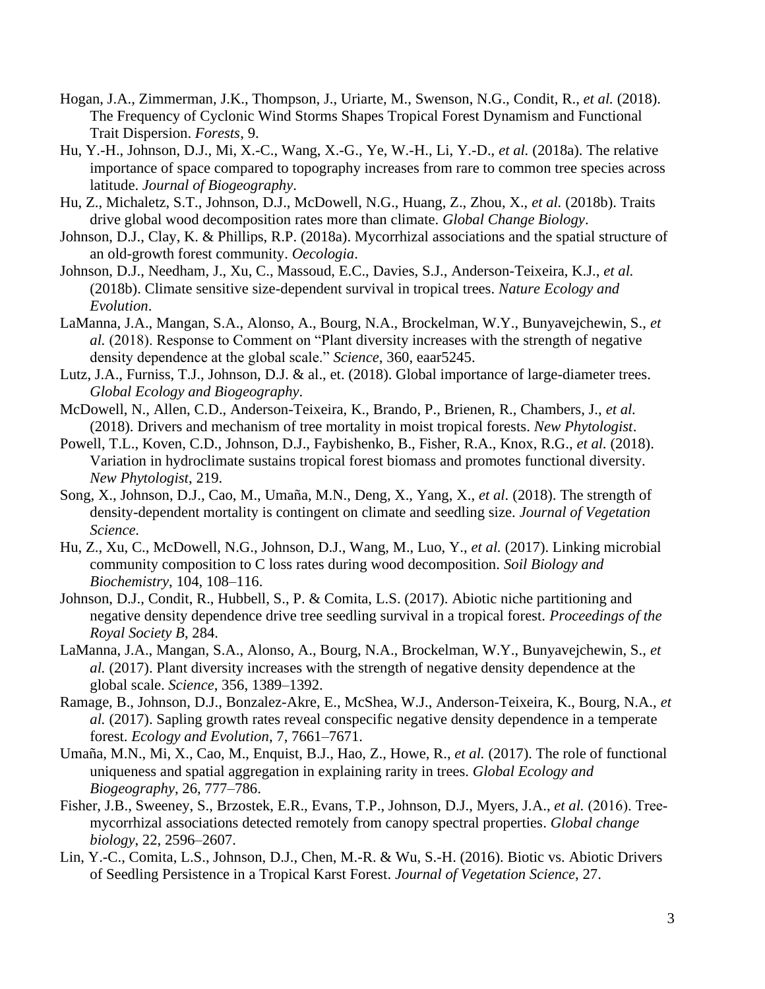- Hogan, J.A., Zimmerman, J.K., Thompson, J., Uriarte, M., Swenson, N.G., Condit, R., *et al.* (2018). The Frequency of Cyclonic Wind Storms Shapes Tropical Forest Dynamism and Functional Trait Dispersion. *Forests*, 9.
- Hu, Y.-H., Johnson, D.J., Mi, X.-C., Wang, X.-G., Ye, W.-H., Li, Y.-D., *et al.* (2018a). The relative importance of space compared to topography increases from rare to common tree species across latitude. *Journal of Biogeography*.
- Hu, Z., Michaletz, S.T., Johnson, D.J., McDowell, N.G., Huang, Z., Zhou, X., *et al.* (2018b). Traits drive global wood decomposition rates more than climate. *Global Change Biology*.
- Johnson, D.J., Clay, K. & Phillips, R.P. (2018a). Mycorrhizal associations and the spatial structure of an old-growth forest community. *Oecologia*.
- Johnson, D.J., Needham, J., Xu, C., Massoud, E.C., Davies, S.J., Anderson-Teixeira, K.J., *et al.* (2018b). Climate sensitive size-dependent survival in tropical trees. *Nature Ecology and Evolution*.
- LaManna, J.A., Mangan, S.A., Alonso, A., Bourg, N.A., Brockelman, W.Y., Bunyavejchewin, S., *et al.* (2018). Response to Comment on "Plant diversity increases with the strength of negative density dependence at the global scale." *Science*, 360, eaar5245.
- Lutz, J.A., Furniss, T.J., Johnson, D.J. & al., et. (2018). Global importance of large-diameter trees. *Global Ecology and Biogeography*.
- McDowell, N., Allen, C.D., Anderson-Teixeira, K., Brando, P., Brienen, R., Chambers, J., *et al.* (2018). Drivers and mechanism of tree mortality in moist tropical forests. *New Phytologist*.
- Powell, T.L., Koven, C.D., Johnson, D.J., Faybishenko, B., Fisher, R.A., Knox, R.G., *et al.* (2018). Variation in hydroclimate sustains tropical forest biomass and promotes functional diversity. *New Phytologist*, 219.
- Song, X., Johnson, D.J., Cao, M., Umaña, M.N., Deng, X., Yang, X., *et al.* (2018). The strength of density-dependent mortality is contingent on climate and seedling size. *Journal of Vegetation Science*.
- Hu, Z., Xu, C., McDowell, N.G., Johnson, D.J., Wang, M., Luo, Y., *et al.* (2017). Linking microbial community composition to C loss rates during wood decomposition. *Soil Biology and Biochemistry*, 104, 108–116.
- Johnson, D.J., Condit, R., Hubbell, S., P. & Comita, L.S. (2017). Abiotic niche partitioning and negative density dependence drive tree seedling survival in a tropical forest. *Proceedings of the Royal Society B*, 284.
- LaManna, J.A., Mangan, S.A., Alonso, A., Bourg, N.A., Brockelman, W.Y., Bunyavejchewin, S., *et al.* (2017). Plant diversity increases with the strength of negative density dependence at the global scale. *Science*, 356, 1389–1392.
- Ramage, B., Johnson, D.J., Bonzalez-Akre, E., McShea, W.J., Anderson-Teixeira, K., Bourg, N.A., *et al.* (2017). Sapling growth rates reveal conspecific negative density dependence in a temperate forest. *Ecology and Evolution*, 7, 7661–7671.
- Umaña, M.N., Mi, X., Cao, M., Enquist, B.J., Hao, Z., Howe, R., *et al.* (2017). The role of functional uniqueness and spatial aggregation in explaining rarity in trees. *Global Ecology and Biogeography*, 26, 777–786.
- Fisher, J.B., Sweeney, S., Brzostek, E.R., Evans, T.P., Johnson, D.J., Myers, J.A., *et al.* (2016). Tree‐ mycorrhizal associations detected remotely from canopy spectral properties. *Global change biology*, 22, 2596–2607.
- Lin, Y.-C., Comita, L.S., Johnson, D.J., Chen, M.-R. & Wu, S.-H. (2016). Biotic vs. Abiotic Drivers of Seedling Persistence in a Tropical Karst Forest. *Journal of Vegetation Science*, 27.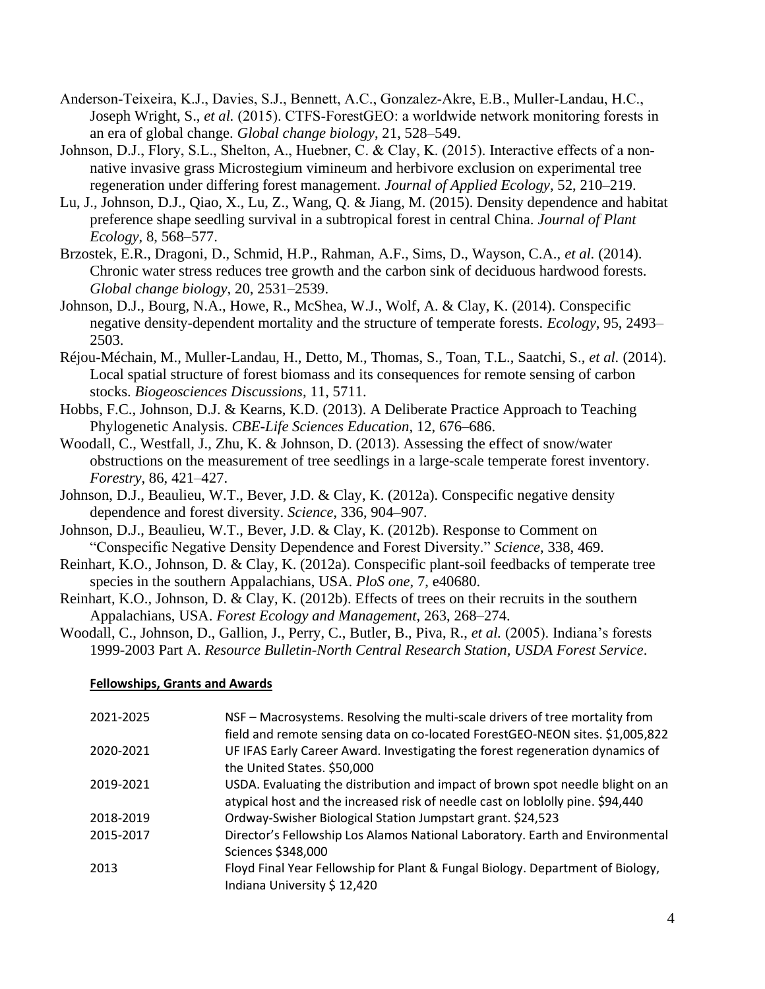- Anderson‐Teixeira, K.J., Davies, S.J., Bennett, A.C., Gonzalez‐Akre, E.B., Muller‐Landau, H.C., Joseph Wright, S., *et al.* (2015). CTFS‐ForestGEO: a worldwide network monitoring forests in an era of global change. *Global change biology*, 21, 528–549.
- Johnson, D.J., Flory, S.L., Shelton, A., Huebner, C. & Clay, K. (2015). Interactive effects of a non‐ native invasive grass Microstegium vimineum and herbivore exclusion on experimental tree regeneration under differing forest management. *Journal of Applied Ecology*, 52, 210–219.
- Lu, J., Johnson, D.J., Qiao, X., Lu, Z., Wang, Q. & Jiang, M. (2015). Density dependence and habitat preference shape seedling survival in a subtropical forest in central China. *Journal of Plant Ecology*, 8, 568–577.
- Brzostek, E.R., Dragoni, D., Schmid, H.P., Rahman, A.F., Sims, D., Wayson, C.A., *et al.* (2014). Chronic water stress reduces tree growth and the carbon sink of deciduous hardwood forests. *Global change biology*, 20, 2531–2539.

Johnson, D.J., Bourg, N.A., Howe, R., McShea, W.J., Wolf, A. & Clay, K. (2014). Conspecific negative density-dependent mortality and the structure of temperate forests. *Ecology*, 95, 2493– 2503.

- Réjou-Méchain, M., Muller-Landau, H., Detto, M., Thomas, S., Toan, T.L., Saatchi, S., *et al.* (2014). Local spatial structure of forest biomass and its consequences for remote sensing of carbon stocks. *Biogeosciences Discussions*, 11, 5711.
- Hobbs, F.C., Johnson, D.J. & Kearns, K.D. (2013). A Deliberate Practice Approach to Teaching Phylogenetic Analysis. *CBE-Life Sciences Education*, 12, 676–686.
- Woodall, C., Westfall, J., Zhu, K. & Johnson, D. (2013). Assessing the effect of snow/water obstructions on the measurement of tree seedlings in a large-scale temperate forest inventory. *Forestry*, 86, 421–427.
- Johnson, D.J., Beaulieu, W.T., Bever, J.D. & Clay, K. (2012a). Conspecific negative density dependence and forest diversity. *Science*, 336, 904–907.
- Johnson, D.J., Beaulieu, W.T., Bever, J.D. & Clay, K. (2012b). Response to Comment on "Conspecific Negative Density Dependence and Forest Diversity." *Science*, 338, 469.
- Reinhart, K.O., Johnson, D. & Clay, K. (2012a). Conspecific plant-soil feedbacks of temperate tree species in the southern Appalachians, USA. *PloS one*, 7, e40680.
- Reinhart, K.O., Johnson, D. & Clay, K. (2012b). Effects of trees on their recruits in the southern Appalachians, USA. *Forest Ecology and Management*, 263, 268–274.
- Woodall, C., Johnson, D., Gallion, J., Perry, C., Butler, B., Piva, R., *et al.* (2005). Indiana's forests 1999-2003 Part A. *Resource Bulletin-North Central Research Station, USDA Forest Service*.

### **Fellowships, Grants and Awards**

| 2021-2025 | NSF – Macrosystems. Resolving the multi-scale drivers of tree mortality from   |
|-----------|--------------------------------------------------------------------------------|
|           | field and remote sensing data on co-located ForestGEO-NEON sites. \$1,005,822  |
| 2020-2021 | UF IFAS Early Career Award. Investigating the forest regeneration dynamics of  |
|           | the United States. \$50,000                                                    |
| 2019-2021 | USDA. Evaluating the distribution and impact of brown spot needle blight on an |
|           | atypical host and the increased risk of needle cast on loblolly pine. \$94,440 |
| 2018-2019 | Ordway-Swisher Biological Station Jumpstart grant. \$24,523                    |
| 2015-2017 | Director's Fellowship Los Alamos National Laboratory. Earth and Environmental  |
|           | Sciences \$348,000                                                             |
| 2013      | Floyd Final Year Fellowship for Plant & Fungal Biology. Department of Biology, |
|           | Indiana University \$12,420                                                    |